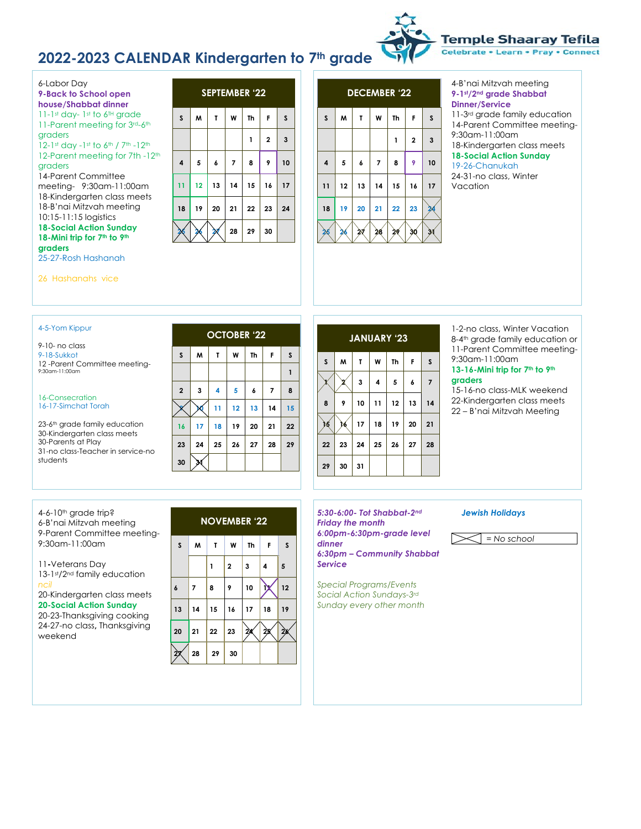### **2022-2023 CALENDAR Kindergarten to 7th grade**



6-Labor Day **9-Back to School open house/Shabbat dinner** 11-1st day- 1st to 6TH grade

11-Parent meeting for 3rd-6th graders

12-1st day -1st to 6th / 7th -12th 12-Parent meeting for 7th -12<sup>th</sup>

### graders

14-Parent Committee meeting- 9:30am-11:00am 18-Kindergarten class meets 18-B'nai Mitzvah meeting 10:15-11:15 logistics **18-Social Action Sunday 18-Mini trip for 7th to 9th graders**

25-27-Rosh Hashanah





### 4-B'nai Mitzvah meeting **9-1st/2nd grade Shabbat Dinner/Service**

11-3rd grade family education 14-Parent Committee meeting-9:30am-11:00am 18-Kindergarten class meets **18-Social Action Sunday** 19-26-Chanukah

24-31-no class, Winter Vacation

26 Hashanahs vice

### 4-5-Yom Kippur

9-10- no class 9-18-Sukkot 12 -Parent Committee meeting- 9:30am-11:00am

#### 16-Consecration 16-17-Simchat Torah

23-6<sup>th</sup> grade family education 30-Kindergarten class meets 30-Parents at Play 31-no class-Teacher in service-no students

| <b>OCTOBER '22</b> |    |                |                         |    |                          |    |  |
|--------------------|----|----------------|-------------------------|----|--------------------------|----|--|
| $\sf s$            | M  | T              | W                       | Th | F                        | S  |  |
|                    |    |                |                         |    |                          | 1  |  |
| $\overline{2}$     | 3  | $\overline{4}$ | $\overline{\mathbf{5}}$ | 6  | $\overline{\phantom{a}}$ | 8  |  |
|                    |    | 11             | 12                      | 13 | 14                       | 15 |  |
| 16                 | 17 | 18             | 19                      | 20 | 21                       | 22 |  |
| 23                 | 24 | 25             | 26                      | 27 | 28                       | 29 |  |
| 30                 | 34 |                |                         |    |                          |    |  |

| <b>JANUARY '23</b> |    |    |                         |           |    |                |  |
|--------------------|----|----|-------------------------|-----------|----|----------------|--|
| $\mathsf{s}$       | M  | T  | W                       | <b>Th</b> | F  | s              |  |
|                    | 7  | 3  | $\overline{\mathbf{4}}$ | 5         | 6  | $\overline{7}$ |  |
| 8                  | 9  | 10 | 11                      | 12        | 13 | 14             |  |
| х                  |    | 17 | 18                      | 19        | 20 | 21             |  |
| 22                 | 23 | 24 | 25                      | 26        | 27 | 28             |  |
| 29                 | 30 | 31 |                         |           |    |                |  |

1-2-no class, Winter Vacation 8-4<sup>th</sup> grade family education or 11-Parent Committee meeting-9:30am-11:00am

### **13-16-Mini trip for 7th to 9th graders**

*= No school*

*Jewish Holidays*

15-16-no class-MLK weekend 22-Kindergarten class meets 22 – B'nai Mitzvah Meeting

4-6-10<sup>th</sup> grade trip? 6-B'nai Mitzvah meeting 9-Parent Committee meeting-9:30am-11:00am

11**-**Veterans Day 13-1st/2nd family education *ncil*

20-Kindergarten class meets **20-Social Action Sunday**

20-23-Thanksgiving cooking 24-27-no class**,** Thanksgiving weekend

## **NOVEMBER '22 S M T W Th F S 1 2 3 4 5 6 7 8 9 10 11 12 13 14 15 16 17 18 19 20 21 22 23 24 25 26 27 28 29 30**

*5:30-6:00- Tot Shabbat-2nd Friday the month 6:00pm-6:30pm-grade level dinner 6:30pm – Community Shabbat Service*

*Special Programs/Events Social Action Sundays-3rd Sunday every other month*